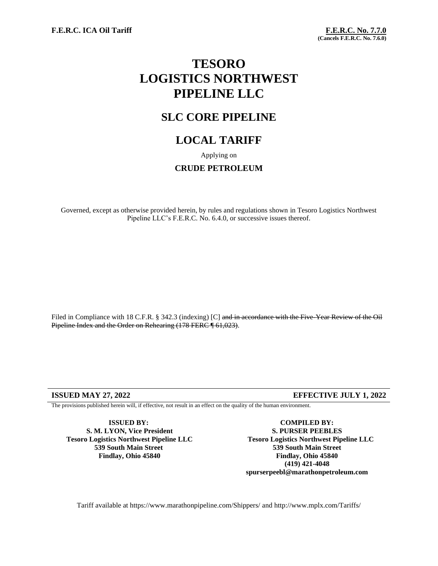**F.E.R.C. ICA Oil Tariff F.E.R.C. No. 7.7.0**

# **TESORO LOGISTICS NORTHWEST PIPELINE LLC**

## **SLC CORE PIPELINE**

## **LOCAL TARIFF**

Applying on

### **CRUDE PETROLEUM**

Governed, except as otherwise provided herein, by rules and regulations shown in Tesoro Logistics Northwest Pipeline LLC's F.E.R.C. No. 6.4.0, or successive issues thereof.

Filed in Compliance with 18 C.F.R. § 342.3 (indexing) [C] and in accordance with the Five-Year Review of the Oil Pipeline Index and the Order on Rehearing (178 FERC ¶ 61,023).

### **ISSUED MAY 27, 2022 EFFECTIVE JULY 1, 2022**

The provisions published herein will, if effective, not result in an effect on the quality of the human environment.

**ISSUED BY: S. M. LYON, Vice President Tesoro Logistics Northwest Pipeline LLC 539 South Main Street Findlay, Ohio 45840**

**COMPILED BY: S. PURSER PEEBLES Tesoro Logistics Northwest Pipeline LLC 539 South Main Street Findlay, Ohio 45840 (419) 421-4048 spurserpeebl@marathonpetroleum.com**

Tariff available at https://www.marathonpipeline.com/Shippers/ and http://www.mplx.com/Tariffs/